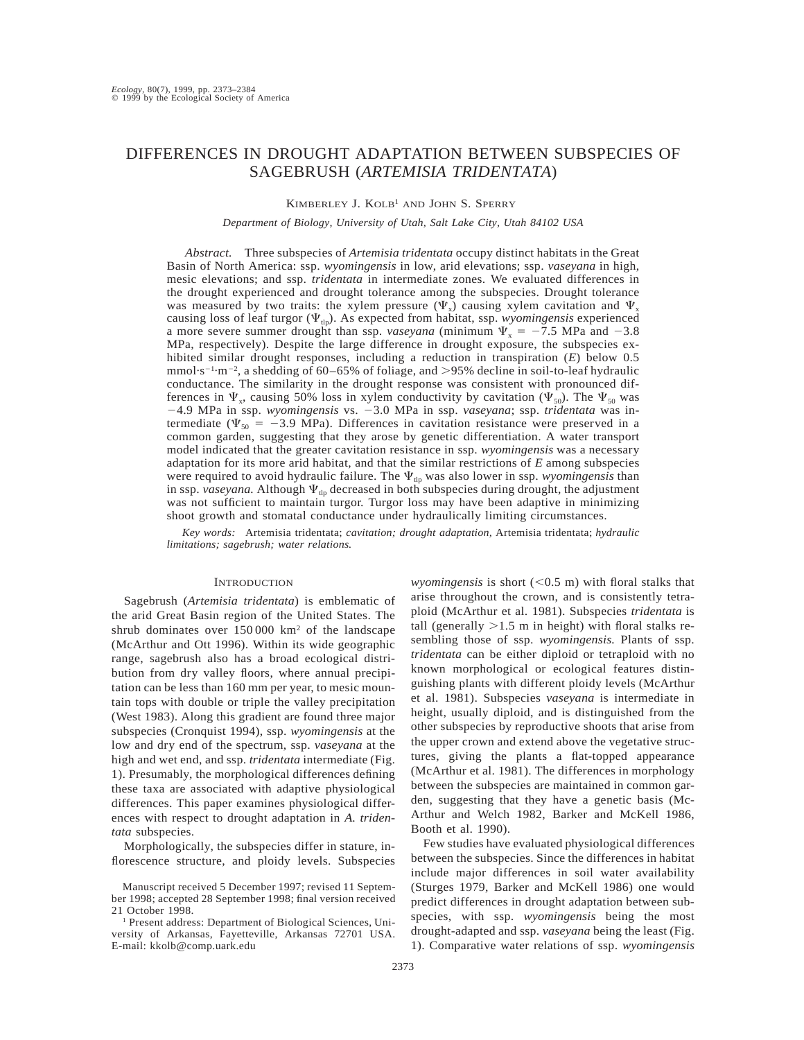# DIFFERENCES IN DROUGHT ADAPTATION BETWEEN SUBSPECIES OF SAGEBRUSH (*ARTEMISIA TRIDENTATA*)

KIMBERLEY J. KOLB<sup>1</sup> AND JOHN S. SPERRY

*Department of Biology, University of Utah, Salt Lake City, Utah 84102 USA*

*Abstract.* Three subspecies of *Artemisia tridentata* occupy distinct habitats in the Great Basin of North America: ssp. *wyomingensis* in low, arid elevations; ssp. *vaseyana* in high, mesic elevations; and ssp. *tridentata* in intermediate zones. We evaluated differences in the drought experienced and drought tolerance among the subspecies. Drought tolerance was measured by two traits: the xylem pressure  $(\Psi_x)$  causing xylem cavitation and  $\Psi_x$ causing loss of leaf turgor ( $\Psi_{\text{ub}}$ ). As expected from habitat, ssp. *wyomingensis* experienced a more severe summer drought than ssp. *vaseyana* (minimum  $\Psi_x = -7.5$  MPa and  $-3.8$ ) MPa, respectively). Despite the large difference in drought exposure, the subspecies exhibited similar drought responses, including a reduction in transpiration (*E*) below 0.5 mmol·s<sup>-1</sup>·m<sup>-2</sup>, a shedding of 60–65% of foliage, and >95% decline in soil-to-leaf hydraulic conductance. The similarity in the drought response was consistent with pronounced differences in  $\Psi_x$ , causing 50% loss in xylem conductivity by cavitation ( $\Psi_{50}$ ). The  $\Psi_{50}$  was 24.9 MPa in ssp. *wyomingensis* vs. 23.0 MPa in ssp. *vaseyana*; ssp. *tridentata* was intermediate ( $\Psi_{50} = -3.9$  MPa). Differences in cavitation resistance were preserved in a common garden, suggesting that they arose by genetic differentiation. A water transport model indicated that the greater cavitation resistance in ssp. *wyomingensis* was a necessary adaptation for its more arid habitat, and that the similar restrictions of *E* among subspecies were required to avoid hydraulic failure. The  $\Psi_{\text{th}}$  was also lower in ssp. *wyomingensis* than in ssp. *vaseyana*. Although  $\Psi_{\text{dp}}$  decreased in both subspecies during drought, the adjustment was not sufficient to maintain turgor. Turgor loss may have been adaptive in minimizing shoot growth and stomatal conductance under hydraulically limiting circumstances.

*Key words:* Artemisia tridentata; *cavitation; drought adaptation,* Artemisia tridentata; *hydraulic limitations; sagebrush; water relations.*

# **INTRODUCTION**

Sagebrush (*Artemisia tridentata*) is emblematic of the arid Great Basin region of the United States. The shrub dominates over 150 000 km2 of the landscape (McArthur and Ott 1996). Within its wide geographic range, sagebrush also has a broad ecological distribution from dry valley floors, where annual precipitation can be less than 160 mm per year, to mesic mountain tops with double or triple the valley precipitation (West 1983). Along this gradient are found three major subspecies (Cronquist 1994), ssp. *wyomingensis* at the low and dry end of the spectrum, ssp. *vaseyana* at the high and wet end, and ssp. *tridentata* intermediate (Fig. 1). Presumably, the morphological differences defining these taxa are associated with adaptive physiological differences. This paper examines physiological differences with respect to drought adaptation in *A. tridentata* subspecies.

Morphologically, the subspecies differ in stature, inflorescence structure, and ploidy levels. Subspecies

Manuscript received 5 December 1997; revised 11 September 1998; accepted 28 September 1998; final version received 21 October 1998.

<sup>1</sup> Present address: Department of Biological Sciences, University of Arkansas, Fayetteville, Arkansas 72701 USA. E-mail: kkolb@comp.uark.edu

*wyomingensis* is short  $(<0.5$  m) with floral stalks that arise throughout the crown, and is consistently tetraploid (McArthur et al. 1981). Subspecies *tridentata* is tall (generally  $>1.5$  m in height) with floral stalks resembling those of ssp. *wyomingensis.* Plants of ssp. *tridentata* can be either diploid or tetraploid with no known morphological or ecological features distinguishing plants with different ploidy levels (McArthur et al. 1981). Subspecies *vaseyana* is intermediate in height, usually diploid, and is distinguished from the other subspecies by reproductive shoots that arise from the upper crown and extend above the vegetative structures, giving the plants a flat-topped appearance (McArthur et al. 1981). The differences in morphology between the subspecies are maintained in common garden, suggesting that they have a genetic basis (Mc-Arthur and Welch 1982, Barker and McKell 1986, Booth et al. 1990).

Few studies have evaluated physiological differences between the subspecies. Since the differences in habitat include major differences in soil water availability (Sturges 1979, Barker and McKell 1986) one would predict differences in drought adaptation between subspecies, with ssp. *wyomingensis* being the most drought-adapted and ssp. *vaseyana* being the least (Fig. 1). Comparative water relations of ssp. *wyomingensis*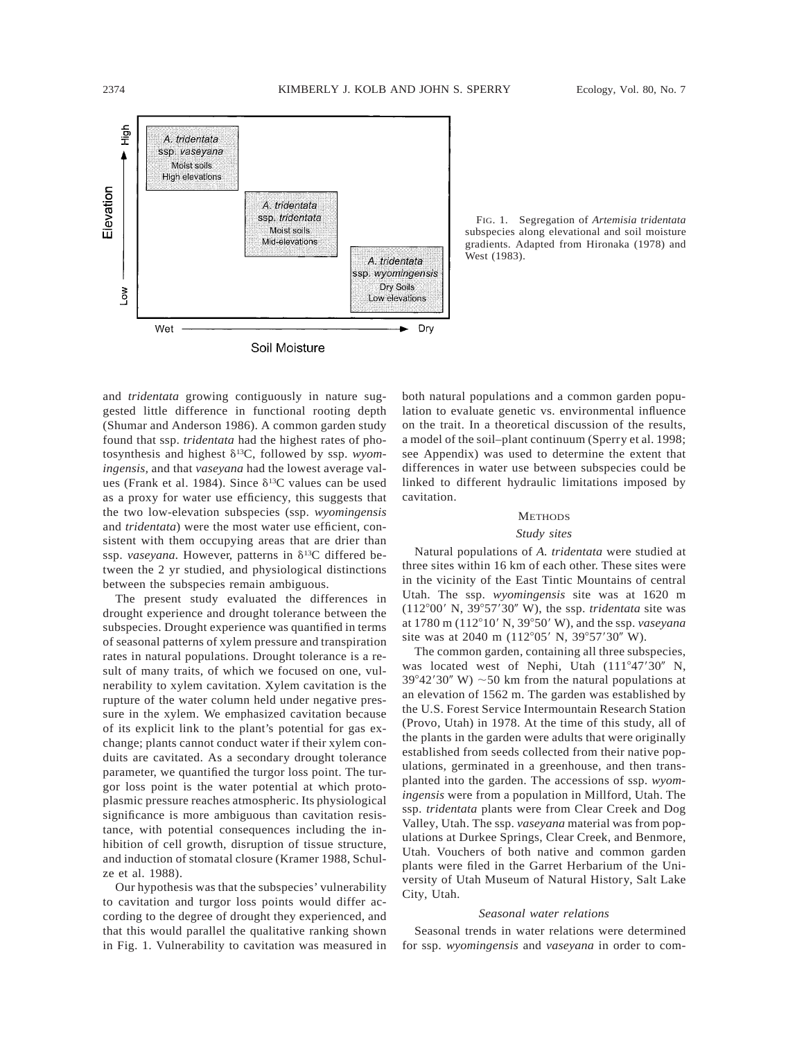

FIG. 1. Segregation of *Artemisia tridentata* subspecies along elevational and soil moisture gradients. Adapted from Hironaka (1978) and West (1983).

and *tridentata* growing contiguously in nature suggested little difference in functional rooting depth (Shumar and Anderson 1986). A common garden study found that ssp. *tridentata* had the highest rates of photosynthesis and highest  $\delta^{13}C$ , followed by ssp. *wyomingensis,* and that *vaseyana* had the lowest average values (Frank et al. 1984). Since  $\delta^{13}$ C values can be used as a proxy for water use efficiency, this suggests that the two low-elevation subspecies (ssp. *wyomingensis* and *tridentata*) were the most water use efficient, consistent with them occupying areas that are drier than ssp. *vaseyana*. However, patterns in δ<sup>13</sup>C differed between the 2 yr studied, and physiological distinctions between the subspecies remain ambiguous.

The present study evaluated the differences in drought experience and drought tolerance between the subspecies. Drought experience was quantified in terms of seasonal patterns of xylem pressure and transpiration rates in natural populations. Drought tolerance is a result of many traits, of which we focused on one, vulnerability to xylem cavitation. Xylem cavitation is the rupture of the water column held under negative pressure in the xylem. We emphasized cavitation because of its explicit link to the plant's potential for gas exchange; plants cannot conduct water if their xylem conduits are cavitated. As a secondary drought tolerance parameter, we quantified the turgor loss point. The turgor loss point is the water potential at which protoplasmic pressure reaches atmospheric. Its physiological significance is more ambiguous than cavitation resistance, with potential consequences including the inhibition of cell growth, disruption of tissue structure, and induction of stomatal closure (Kramer 1988, Schulze et al. 1988).

Our hypothesis was that the subspecies' vulnerability to cavitation and turgor loss points would differ according to the degree of drought they experienced, and that this would parallel the qualitative ranking shown in Fig. 1. Vulnerability to cavitation was measured in

both natural populations and a common garden population to evaluate genetic vs. environmental influence on the trait. In a theoretical discussion of the results, a model of the soil–plant continuum (Sperry et al. 1998; see Appendix) was used to determine the extent that differences in water use between subspecies could be linked to different hydraulic limitations imposed by cavitation.

#### **METHODS**

### *Study sites*

Natural populations of *A. tridentata* were studied at three sites within 16 km of each other. These sites were in the vicinity of the East Tintic Mountains of central Utah. The ssp. *wyomingensis* site was at 1620 m (112°00' N, 39°57'30" W), the ssp. *tridentata* site was at 1780 m (112°10′ N, 39°50′ W), and the ssp. *vaseyana* site was at 2040 m  $(112^{\circ}05' \text{ N}, 39^{\circ}57'30'' \text{ W})$ .

The common garden, containing all three subspecies, was located west of Nephi, Utah (111°47'30" N,  $39^{\circ}42'30''$  W)  $\sim$  50 km from the natural populations at an elevation of 1562 m. The garden was established by the U.S. Forest Service Intermountain Research Station (Provo, Utah) in 1978. At the time of this study, all of the plants in the garden were adults that were originally established from seeds collected from their native populations, germinated in a greenhouse, and then transplanted into the garden. The accessions of ssp. *wyomingensis* were from a population in Millford, Utah. The ssp. *tridentata* plants were from Clear Creek and Dog Valley, Utah. The ssp. *vaseyana* material was from populations at Durkee Springs, Clear Creek, and Benmore, Utah. Vouchers of both native and common garden plants were filed in the Garret Herbarium of the University of Utah Museum of Natural History, Salt Lake City, Utah.

### *Seasonal water relations*

Seasonal trends in water relations were determined for ssp. *wyomingensis* and *vaseyana* in order to com-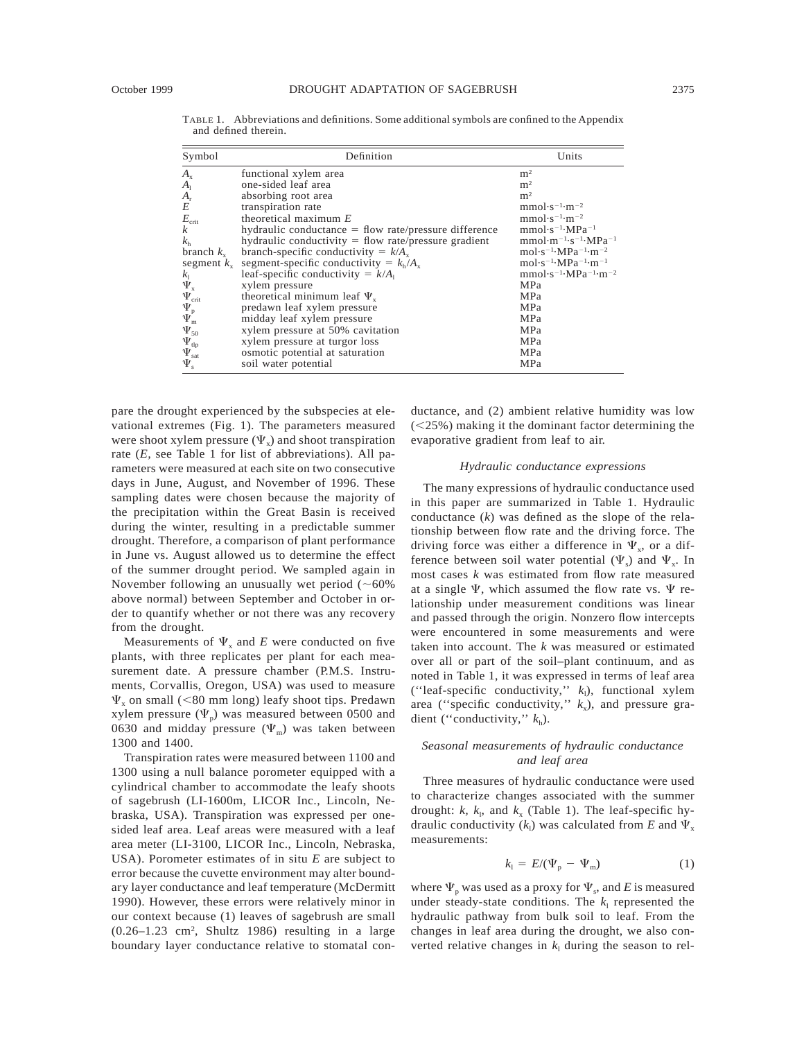| Symbol                                  | Definition                                              | Units                                                                         |  |  |
|-----------------------------------------|---------------------------------------------------------|-------------------------------------------------------------------------------|--|--|
| $A_{\rm x}$                             | functional xylem area                                   | m <sup>2</sup>                                                                |  |  |
| $A_{1}$                                 | one-sided leaf area                                     | m <sup>2</sup>                                                                |  |  |
| $A_{\rm r}$                             | absorbing root area                                     | m <sup>2</sup>                                                                |  |  |
| E                                       | transpiration rate                                      | $mmol·s-1·m-2$                                                                |  |  |
|                                         | theoretical maximum $E$                                 | $mmol·s^{-1}·m^{-2}$                                                          |  |  |
| $\frac{E_{\rm crit}}{k}$                | hydraulic conductance $=$ flow rate/pressure difference | $mmol·s-1·MPa-1$                                                              |  |  |
| $k_{h}$                                 | hydraulic conductivity = flow rate/pressure gradient    | $mmol·m-1·s-1·MPa-1$                                                          |  |  |
| branch $k_{x}$                          | branch-specific conductivity = $k/A_x$                  | mol $\cdot$ s <sup>-1</sup> $\cdot$ MPa <sup>-1</sup> $\cdot$ m <sup>-2</sup> |  |  |
| segment $k_{\rm v}$                     | segment-specific conductivity = $k_h/A_v$               | mol·s <sup>-1</sup> ·MPa <sup>-1</sup> ·m <sup>-1</sup>                       |  |  |
| $k_{\rm l}$                             | leaf-specific conductivity = $k/A_1$                    | $mmol·s^{-1}·MPa^{-1}·m^{-2}$                                                 |  |  |
| $\Psi_{\rm x}$                          | xylem pressure                                          | MPa                                                                           |  |  |
| $\stackrel{\sim}{\Psi_{\rm crit}}$      | theoretical minimum leaf $\Psi$ <sub>x</sub>            | MPa                                                                           |  |  |
| $\Psi_{\scriptscriptstyle{\mathrm{p}}}$ | predawn leaf xylem pressure                             | MPa                                                                           |  |  |
| $\Psi_{\rm m}^{'}$                      | midday leaf xylem pressure                              | MPa                                                                           |  |  |
| $\Psi_{50}^{\mathbb{Z}}$                | xylem pressure at 50% cavitation                        | MPa                                                                           |  |  |
| $\Psi_{\mathrm{dp}}$                    | xylem pressure at turgor loss                           | MPa                                                                           |  |  |
| $\Psi_{\rm sat}^+$                      | osmotic potential at saturation                         | MPa                                                                           |  |  |
| $\Psi_{\rm s}$                          | soil water potential                                    | MPa                                                                           |  |  |

TABLE 1. Abbreviations and definitions. Some additional symbols are confined to the Appendix and defined therein.

pare the drought experienced by the subspecies at elevational extremes (Fig. 1). The parameters measured were shoot xylem pressure  $(\Psi_{x})$  and shoot transpiration rate (*E,* see Table 1 for list of abbreviations). All parameters were measured at each site on two consecutive days in June, August, and November of 1996. These sampling dates were chosen because the majority of the precipitation within the Great Basin is received during the winter, resulting in a predictable summer drought. Therefore, a comparison of plant performance in June vs. August allowed us to determine the effect of the summer drought period. We sampled again in November following an unusually wet period  $(~60\%$ above normal) between September and October in order to quantify whether or not there was any recovery from the drought.

Measurements of  $\Psi$ <sub>x</sub> and *E* were conducted on five plants, with three replicates per plant for each measurement date. A pressure chamber (P.M.S. Instruments, Corvallis, Oregon, USA) was used to measure  $\Psi_{x}$  on small (<80 mm long) leafy shoot tips. Predawn xylem pressure ( $\Psi_p$ ) was measured between 0500 and 0630 and midday pressure  $(\Psi_m)$  was taken between 1300 and 1400.

Transpiration rates were measured between 1100 and 1300 using a null balance porometer equipped with a cylindrical chamber to accommodate the leafy shoots of sagebrush (LI-1600m, LICOR Inc., Lincoln, Nebraska, USA). Transpiration was expressed per onesided leaf area. Leaf areas were measured with a leaf area meter (LI-3100, LICOR Inc., Lincoln, Nebraska, USA). Porometer estimates of in situ *E* are subject to error because the cuvette environment may alter boundary layer conductance and leaf temperature (McDermitt 1990). However, these errors were relatively minor in our context because (1) leaves of sagebrush are small  $(0.26-1.23 \text{ cm}^2, \text{ Shultz } 1986)$  resulting in a large boundary layer conductance relative to stomatal conductance, and (2) ambient relative humidity was low  $(<25\%)$  making it the dominant factor determining the evaporative gradient from leaf to air.

# *Hydraulic conductance expressions*

The many expressions of hydraulic conductance used in this paper are summarized in Table 1. Hydraulic conductance (*k*) was defined as the slope of the relationship between flow rate and the driving force. The driving force was either a difference in  $\Psi_{x}$ , or a difference between soil water potential  $(\Psi_s)$  and  $\Psi_x$ . In most cases *k* was estimated from flow rate measured at a single  $\Psi$ , which assumed the flow rate vs.  $\Psi$  relationship under measurement conditions was linear and passed through the origin. Nonzero flow intercepts were encountered in some measurements and were taken into account. The *k* was measured or estimated over all or part of the soil–plant continuum, and as noted in Table 1, it was expressed in terms of leaf area ("leaf-specific conductivity,"  $k_1$ ), functional xylem area ("specific conductivity,"  $k_x$ ), and pressure gradient ("conductivity,"  $k_h$ ).

# *Seasonal measurements of hydraulic conductance and leaf area*

Three measures of hydraulic conductance were used to characterize changes associated with the summer drought:  $k$ ,  $k_1$ , and  $k_x$  (Table 1). The leaf-specific hydraulic conductivity  $(k_1)$  was calculated from *E* and  $\Psi_x$ measurements:

$$
k_{\rm l} = E/(\Psi_{\rm p} - \Psi_{\rm m}) \tag{1}
$$

where  $\Psi$ <sub>p</sub> was used as a proxy for  $\Psi$ <sub>s</sub>, and *E* is measured under steady-state conditions. The  $k_1$  represented the hydraulic pathway from bulk soil to leaf. From the changes in leaf area during the drought, we also converted relative changes in  $k<sub>l</sub>$  during the season to rel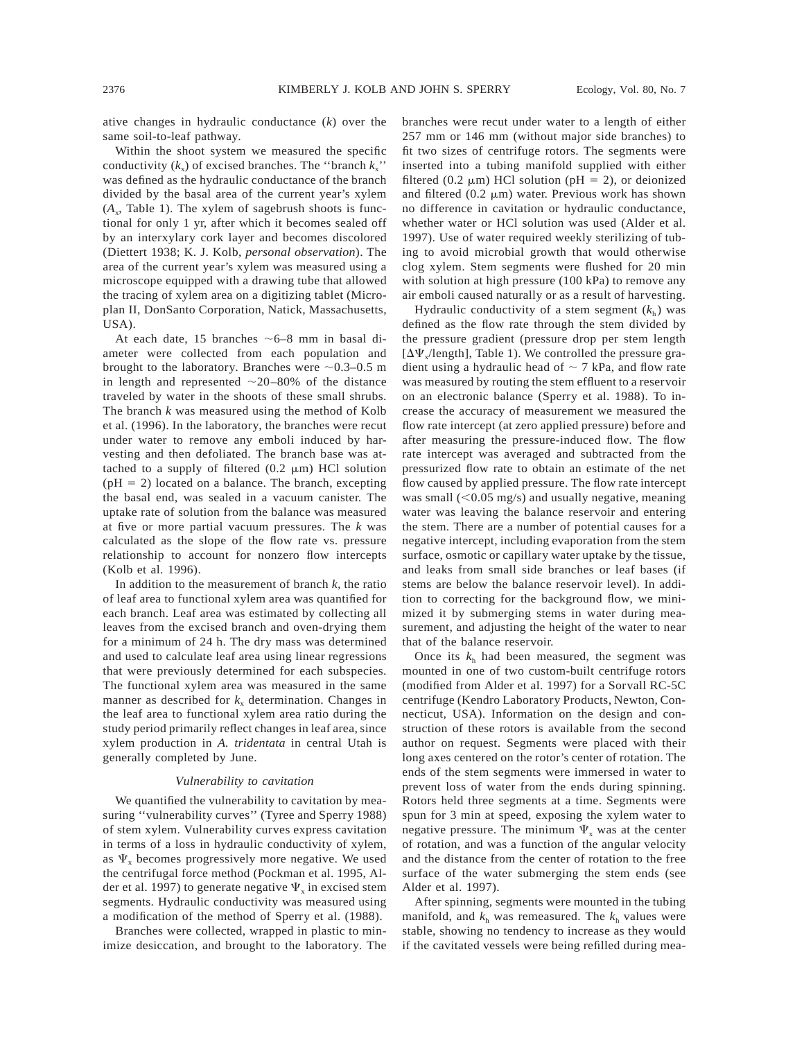ative changes in hydraulic conductance (*k*) over the same soil-to-leaf pathway.

Within the shoot system we measured the specific conductivity  $(k_x)$  of excised branches. The "branch  $k_x$ " was defined as the hydraulic conductance of the branch divided by the basal area of the current year's xylem  $(A_x,$  Table 1). The xylem of sagebrush shoots is functional for only 1 yr, after which it becomes sealed off by an interxylary cork layer and becomes discolored (Diettert 1938; K. J. Kolb, *personal observation*). The area of the current year's xylem was measured using a microscope equipped with a drawing tube that allowed the tracing of xylem area on a digitizing tablet (Microplan II, DonSanto Corporation, Natick, Massachusetts, USA).

At each date, 15 branches  $\sim 6-8$  mm in basal diameter were collected from each population and brought to the laboratory. Branches were  $\sim$ 0.3–0.5 m in length and represented  $\sim$ 20–80% of the distance traveled by water in the shoots of these small shrubs. The branch *k* was measured using the method of Kolb et al. (1996). In the laboratory, the branches were recut under water to remove any emboli induced by harvesting and then defoliated. The branch base was attached to a supply of filtered  $(0.2 \mu m)$  HCl solution  $(pH = 2)$  located on a balance. The branch, excepting the basal end, was sealed in a vacuum canister. The uptake rate of solution from the balance was measured at five or more partial vacuum pressures. The *k* was calculated as the slope of the flow rate vs. pressure relationship to account for nonzero flow intercepts (Kolb et al. 1996).

In addition to the measurement of branch *k,* the ratio of leaf area to functional xylem area was quantified for each branch. Leaf area was estimated by collecting all leaves from the excised branch and oven-drying them for a minimum of 24 h. The dry mass was determined and used to calculate leaf area using linear regressions that were previously determined for each subspecies. The functional xylem area was measured in the same manner as described for  $k_x$  determination. Changes in the leaf area to functional xylem area ratio during the study period primarily reflect changes in leaf area, since xylem production in *A. tridentata* in central Utah is generally completed by June.

# *Vulnerability to cavitation*

We quantified the vulnerability to cavitation by measuring ''vulnerability curves'' (Tyree and Sperry 1988) of stem xylem. Vulnerability curves express cavitation in terms of a loss in hydraulic conductivity of xylem, as  $\Psi_{x}$  becomes progressively more negative. We used the centrifugal force method (Pockman et al. 1995, Alder et al. 1997) to generate negative  $\Psi_{x}$  in excised stem segments. Hydraulic conductivity was measured using a modification of the method of Sperry et al. (1988).

Branches were collected, wrapped in plastic to minimize desiccation, and brought to the laboratory. The branches were recut under water to a length of either 257 mm or 146 mm (without major side branches) to fit two sizes of centrifuge rotors. The segments were inserted into a tubing manifold supplied with either filtered (0.2  $\mu$ m) HCl solution (pH = 2), or deionized and filtered (0.2  $\mu$ m) water. Previous work has shown no difference in cavitation or hydraulic conductance, whether water or HCl solution was used (Alder et al. 1997). Use of water required weekly sterilizing of tubing to avoid microbial growth that would otherwise clog xylem. Stem segments were flushed for 20 min with solution at high pressure (100 kPa) to remove any air emboli caused naturally or as a result of harvesting.

Hydraulic conductivity of a stem segment  $(k<sub>h</sub>)$  was defined as the flow rate through the stem divided by the pressure gradient (pressure drop per stem length  $[\Delta\Psi_{\rm v}/\text{length}]$ , Table 1). We controlled the pressure gradient using a hydraulic head of  $\sim$  7 kPa, and flow rate was measured by routing the stem effluent to a reservoir on an electronic balance (Sperry et al. 1988). To increase the accuracy of measurement we measured the flow rate intercept (at zero applied pressure) before and after measuring the pressure-induced flow. The flow rate intercept was averaged and subtracted from the pressurized flow rate to obtain an estimate of the net flow caused by applied pressure. The flow rate intercept was small  $(<0.05$  mg/s) and usually negative, meaning water was leaving the balance reservoir and entering the stem. There are a number of potential causes for a negative intercept, including evaporation from the stem surface, osmotic or capillary water uptake by the tissue, and leaks from small side branches or leaf bases (if stems are below the balance reservoir level). In addition to correcting for the background flow, we minimized it by submerging stems in water during measurement, and adjusting the height of the water to near that of the balance reservoir.

Once its  $k<sub>h</sub>$  had been measured, the segment was mounted in one of two custom-built centrifuge rotors (modified from Alder et al. 1997) for a Sorvall RC-5C centrifuge (Kendro Laboratory Products, Newton, Connecticut, USA). Information on the design and construction of these rotors is available from the second author on request. Segments were placed with their long axes centered on the rotor's center of rotation. The ends of the stem segments were immersed in water to prevent loss of water from the ends during spinning. Rotors held three segments at a time. Segments were spun for 3 min at speed, exposing the xylem water to negative pressure. The minimum  $\Psi_x$  was at the center of rotation, and was a function of the angular velocity and the distance from the center of rotation to the free surface of the water submerging the stem ends (see Alder et al. 1997).

After spinning, segments were mounted in the tubing manifold, and  $k<sub>h</sub>$  was remeasured. The  $k<sub>h</sub>$  values were stable, showing no tendency to increase as they would if the cavitated vessels were being refilled during mea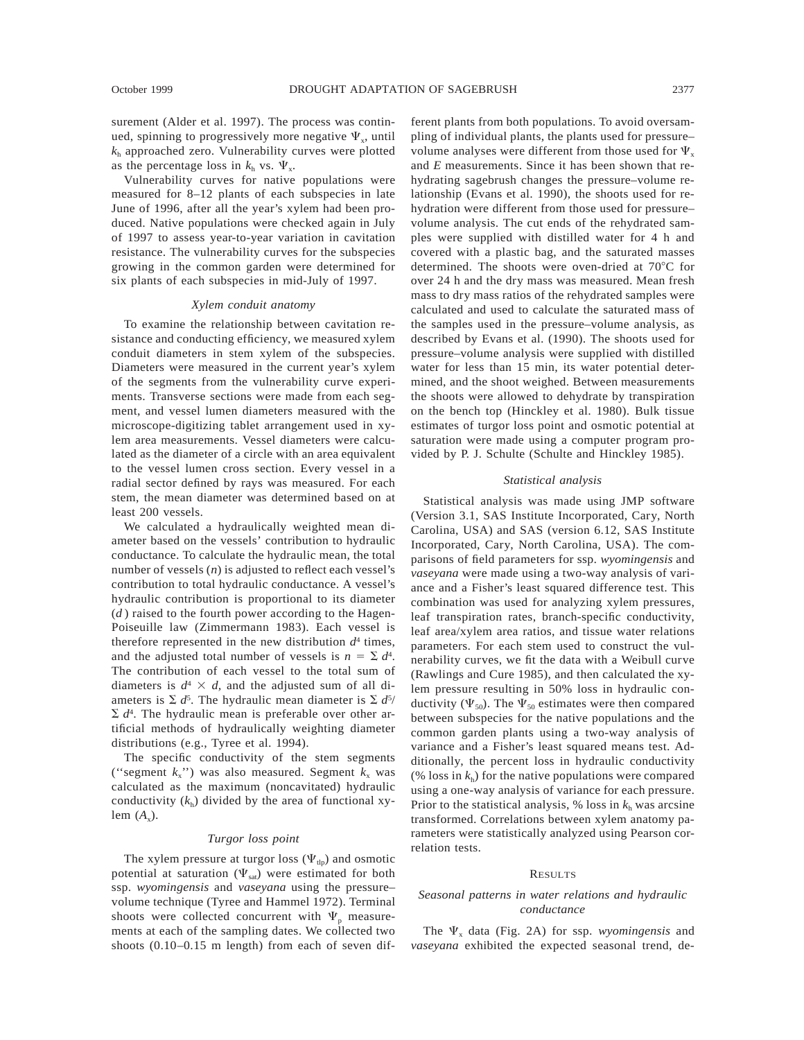surement (Alder et al. 1997). The process was continued, spinning to progressively more negative  $\Psi_{x}$ , until *k*<sup>h</sup> approached zero. Vulnerability curves were plotted as the percentage loss in  $k_h$  vs.  $\Psi_x$ .

Vulnerability curves for native populations were measured for 8–12 plants of each subspecies in late June of 1996, after all the year's xylem had been produced. Native populations were checked again in July of 1997 to assess year-to-year variation in cavitation resistance. The vulnerability curves for the subspecies growing in the common garden were determined for six plants of each subspecies in mid-July of 1997.

# *Xylem conduit anatomy*

To examine the relationship between cavitation resistance and conducting efficiency, we measured xylem conduit diameters in stem xylem of the subspecies. Diameters were measured in the current year's xylem of the segments from the vulnerability curve experiments. Transverse sections were made from each segment, and vessel lumen diameters measured with the microscope-digitizing tablet arrangement used in xylem area measurements. Vessel diameters were calculated as the diameter of a circle with an area equivalent to the vessel lumen cross section. Every vessel in a radial sector defined by rays was measured. For each stem, the mean diameter was determined based on at least 200 vessels.

We calculated a hydraulically weighted mean diameter based on the vessels' contribution to hydraulic conductance. To calculate the hydraulic mean, the total number of vessels (*n*) is adjusted to reflect each vessel's contribution to total hydraulic conductance. A vessel's hydraulic contribution is proportional to its diameter (*d* ) raised to the fourth power according to the Hagen-Poiseuille law (Zimmermann 1983). Each vessel is therefore represented in the new distribution  $d^4$  times, and the adjusted total number of vessels is  $n = \sum d^4$ . The contribution of each vessel to the total sum of diameters is  $d^4 \times d$ , and the adjusted sum of all diameters is  $\Sigma d^5$ . The hydraulic mean diameter is  $\Sigma d^{5/2}$  $\sum d^4$ . The hydraulic mean is preferable over other artificial methods of hydraulically weighting diameter distributions (e.g., Tyree et al. 1994).

The specific conductivity of the stem segments ("segment  $k_x$ ") was also measured. Segment  $k_x$  was calculated as the maximum (noncavitated) hydraulic conductivity  $(k<sub>h</sub>)$  divided by the area of functional xylem  $(A_x)$ .

# *Turgor loss point*

The xylem pressure at turgor loss  $(\Psi_{\text{dp}})$  and osmotic potential at saturation ( $\Psi_{sat}$ ) were estimated for both ssp. *wyomingensis* and *vaseyana* using the pressure– volume technique (Tyree and Hammel 1972). Terminal shoots were collected concurrent with  $\Psi_p$  measurements at each of the sampling dates. We collected two shoots (0.10–0.15 m length) from each of seven different plants from both populations. To avoid oversampling of individual plants, the plants used for pressure– volume analyses were different from those used for  $\Psi$ <sub>x</sub> and *E* measurements. Since it has been shown that rehydrating sagebrush changes the pressure–volume relationship (Evans et al. 1990), the shoots used for rehydration were different from those used for pressure– volume analysis. The cut ends of the rehydrated samples were supplied with distilled water for 4 h and covered with a plastic bag, and the saturated masses determined. The shoots were oven-dried at 70°C for over 24 h and the dry mass was measured. Mean fresh mass to dry mass ratios of the rehydrated samples were calculated and used to calculate the saturated mass of the samples used in the pressure–volume analysis, as described by Evans et al. (1990). The shoots used for pressure–volume analysis were supplied with distilled water for less than 15 min, its water potential determined, and the shoot weighed. Between measurements the shoots were allowed to dehydrate by transpiration on the bench top (Hinckley et al. 1980). Bulk tissue estimates of turgor loss point and osmotic potential at saturation were made using a computer program provided by P. J. Schulte (Schulte and Hinckley 1985).

#### *Statistical analysis*

Statistical analysis was made using JMP software (Version 3.1, SAS Institute Incorporated, Cary, North Carolina, USA) and SAS (version 6.12, SAS Institute Incorporated, Cary, North Carolina, USA). The comparisons of field parameters for ssp. *wyomingensis* and *vaseyana* were made using a two-way analysis of variance and a Fisher's least squared difference test. This combination was used for analyzing xylem pressures, leaf transpiration rates, branch-specific conductivity, leaf area/xylem area ratios, and tissue water relations parameters. For each stem used to construct the vulnerability curves, we fit the data with a Weibull curve (Rawlings and Cure 1985), and then calculated the xylem pressure resulting in 50% loss in hydraulic conductivity ( $\Psi_{50}$ ). The  $\Psi_{50}$  estimates were then compared between subspecies for the native populations and the common garden plants using a two-way analysis of variance and a Fisher's least squared means test. Additionally, the percent loss in hydraulic conductivity (% loss in  $k<sub>h</sub>$ ) for the native populations were compared using a one-way analysis of variance for each pressure. Prior to the statistical analysis,  $\%$  loss in  $k_h$  was arcsine transformed. Correlations between xylem anatomy parameters were statistically analyzed using Pearson correlation tests.

### **RESULTS**

# *Seasonal patterns in water relations and hydraulic conductance*

The  $\Psi$ <sub>x</sub> data (Fig. 2A) for ssp. *wyomingensis* and *vaseyana* exhibited the expected seasonal trend, de-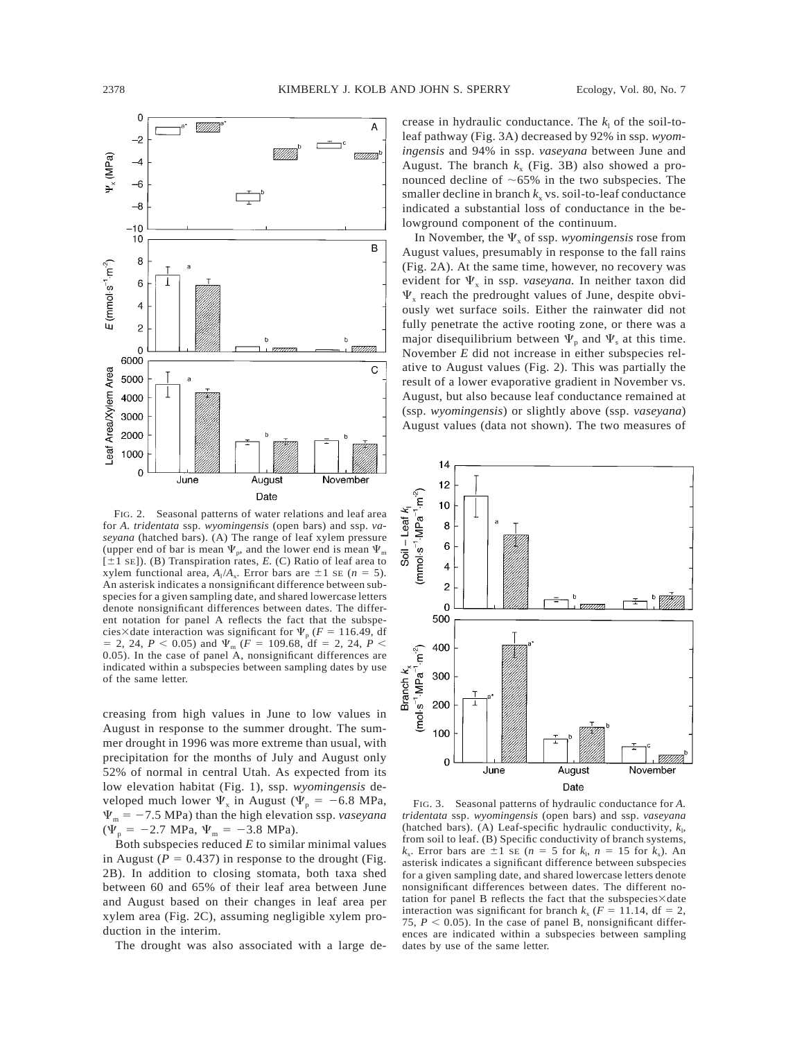

FIG. 2. Seasonal patterns of water relations and leaf area for *A. tridentata* ssp. *wyomingensis* (open bars) and ssp. *vaseyana* (hatched bars). (A) The range of leaf xylem pressure (upper end of bar is mean  $\Psi_p$ , and the lower end is mean  $\Psi_m$  $[\pm 1 \text{ s}$ . (B) Transpiration rates, *E.* (C) Ratio of leaf area to xylem functional area,  $A_1/A_2$ . Error bars are  $\pm 1$  se (*n* = 5). An asterisk indicates a nonsignificant difference between subspecies for a given sampling date, and shared lowercase letters denote nonsignificant differences between dates. The different notation for panel A reflects the fact that the subspecies×date interaction was significant for  $\Psi_p$  (*F* = 116.49, df  $=$  2, 24, *P* < 0.05) and  $\Psi$ <sub>m</sub> (*F* = 109.68, df = 2, 24, *P* < 0.05). In the case of panel A, nonsignificant differences are indicated within a subspecies between sampling dates by use of the same letter.

creasing from high values in June to low values in August in response to the summer drought. The summer drought in 1996 was more extreme than usual, with precipitation for the months of July and August only 52% of normal in central Utah. As expected from its low elevation habitat (Fig. 1), ssp. *wyomingensis* developed much lower  $\Psi_x$  in August ( $\Psi_p = -6.8$  MPa,  $\Psi_{\rm m}$  = -7.5 MPa) than the high elevation ssp. *vaseyana*  $(\Psi_p = -2.7 \text{ MPa}, \Psi_m = -3.8 \text{ MPa}).$ 

Both subspecies reduced *E* to similar minimal values in August ( $P = 0.437$ ) in response to the drought (Fig. 2B). In addition to closing stomata, both taxa shed between 60 and 65% of their leaf area between June and August based on their changes in leaf area per xylem area (Fig. 2C), assuming negligible xylem production in the interim.

The drought was also associated with a large de-

crease in hydraulic conductance. The  $k_1$  of the soil-toleaf pathway (Fig. 3A) decreased by 92% in ssp. *wyomingensis* and 94% in ssp. *vaseyana* between June and August. The branch  $k_x$  (Fig. 3B) also showed a pronounced decline of  $~65\%$  in the two subspecies. The smaller decline in branch  $k_x$  vs. soil-to-leaf conductance indicated a substantial loss of conductance in the belowground component of the continuum.

In November, the  $\Psi_{\rm x}$  of ssp. *wyomingensis* rose from August values, presumably in response to the fall rains (Fig. 2A). At the same time, however, no recovery was evident for  $\Psi_x$  in ssp. *vaseyana*. In neither taxon did  $\Psi_{x}$  reach the predrought values of June, despite obviously wet surface soils. Either the rainwater did not fully penetrate the active rooting zone, or there was a major disequilibrium between  $\Psi_{\rho}$  and  $\Psi_{s}$  at this time. November *E* did not increase in either subspecies relative to August values (Fig. 2). This was partially the result of a lower evaporative gradient in November vs. August, but also because leaf conductance remained at (ssp. *wyomingensis*) or slightly above (ssp. *vaseyana*) August values (data not shown). The two measures of



FIG. 3. Seasonal patterns of hydraulic conductance for *A. tridentata* ssp. *wyomingensis* (open bars) and ssp. *vaseyana* (hatched bars). (A) Leaf-specific hydraulic conductivity,  $k_1$ , from soil to leaf. (B) Specific conductivity of branch systems,  $k_x$ . Error bars are  $\pm 1$  se (*n* = 5 for  $k_1$ , *n* = 15 for  $k_x$ ). An asterisk indicates a significant difference between subspecies for a given sampling date, and shared lowercase letters denote nonsignificant differences between dates. The different notation for panel B reflects the fact that the subspecies $\times$  date interaction was significant for branch  $k_x$  ( $F = 11.14$ , df = 2, 75,  $P < 0.05$ ). In the case of panel B, nonsignificant differences are indicated within a subspecies between sampling dates by use of the same letter.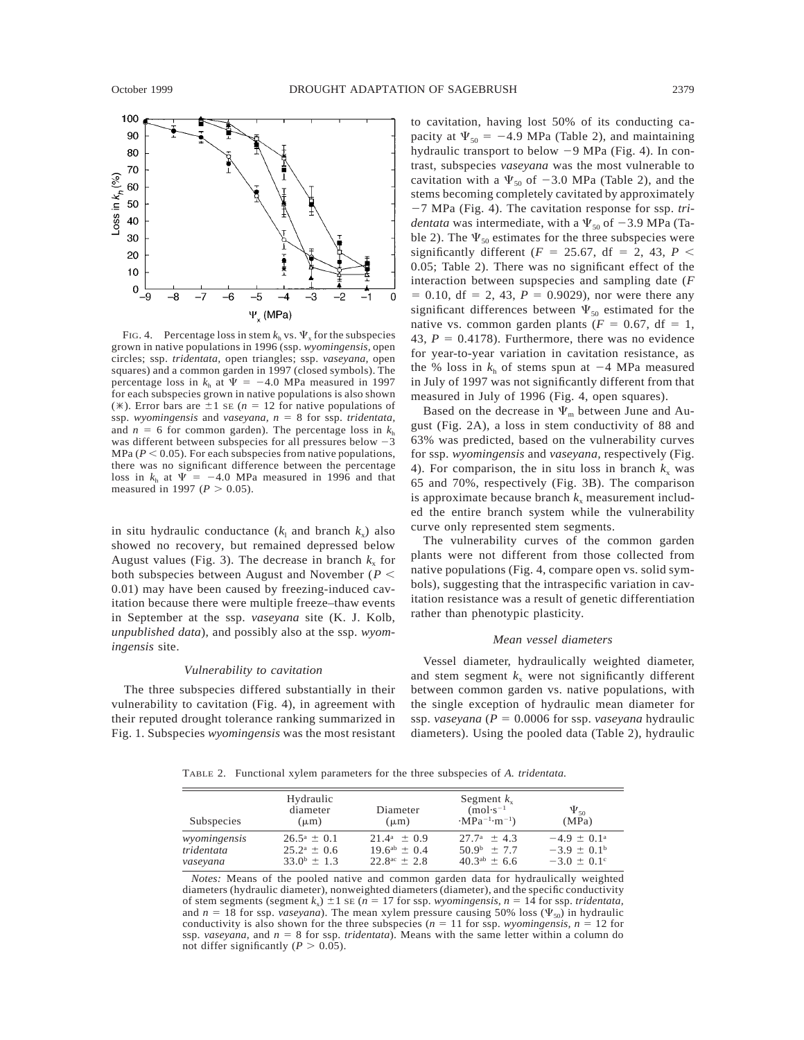

FIG. 4. Percentage loss in stem  $k_h$  vs.  $\Psi_x$  for the subspecies grown in native populations in 1996 (ssp. *wyomingensis,* open circles; ssp. *tridentata,* open triangles; ssp. *vaseyana,* open squares) and a common garden in 1997 (closed symbols). The percentage loss in  $k_h$  at  $\Psi = -4.0$  MPa measured in 1997 for each subspecies grown in native populations is also shown (\*). Error bars are  $\pm 1$  se ( $n = 12$  for native populations of ssp. *wyomingensis* and *vaseyana, n* 5 8 for ssp. *tridentata,* and  $n = 6$  for common garden). The percentage loss in  $k<sub>h</sub>$ was different between subspecies for all pressures below  $-3$  $MPa (P < 0.05)$ . For each subspecies from native populations, there was no significant difference between the percentage loss in  $k_h$  at  $\Psi = -4.0$  MPa measured in 1996 and that measured in 1997 ( $P > 0.05$ ).

in situ hydraulic conductance  $(k_1$  and branch  $k_x$ ) also showed no recovery, but remained depressed below August values (Fig. 3). The decrease in branch  $k_x$  for both subspecies between August and November ( $P$  < 0.01) may have been caused by freezing-induced cavitation because there were multiple freeze–thaw events in September at the ssp. *vaseyana* site (K. J. Kolb, *unpublished data*), and possibly also at the ssp. *wyomingensis* site.

# *Vulnerability to cavitation*

The three subspecies differed substantially in their vulnerability to cavitation (Fig. 4), in agreement with their reputed drought tolerance ranking summarized in Fig. 1. Subspecies *wyomingensis* was the most resistant to cavitation, having lost 50% of its conducting capacity at  $\Psi_{50} = -4.9$  MPa (Table 2), and maintaining hydraulic transport to below  $-9$  MPa (Fig. 4). In contrast, subspecies *vaseyana* was the most vulnerable to cavitation with a  $\Psi_{50}$  of -3.0 MPa (Table 2), and the stems becoming completely cavitated by approximately 27 MPa (Fig. 4). The cavitation response for ssp. *tridentata* was intermediate, with a  $\Psi_{50}$  of -3.9 MPa (Table 2). The  $\Psi_{50}$  estimates for the three subspecies were significantly different ( $F = 25.67$ , df = 2, 43,  $P <$ 0.05; Table 2). There was no significant effect of the interaction between supspecies and sampling date (*F*  $= 0.10$ , df  $= 2, 43, P = 0.9029$ , nor were there any significant differences between  $\Psi_{50}$  estimated for the native vs. common garden plants ( $F = 0.67$ , df = 1, 43,  $P = 0.4178$ ). Furthermore, there was no evidence for year-to-year variation in cavitation resistance, as the % loss in  $k<sub>h</sub>$  of stems spun at  $-4$  MPa measured in July of 1997 was not significantly different from that measured in July of 1996 (Fig. 4, open squares).

Based on the decrease in  $\Psi_m$  between June and August (Fig. 2A), a loss in stem conductivity of 88 and 63% was predicted, based on the vulnerability curves for ssp. *wyomingensis* and *vaseyana,* respectively (Fig. 4). For comparison, the in situ loss in branch  $k_x$  was 65 and 70%, respectively (Fig. 3B). The comparison is approximate because branch  $k_x$  measurement included the entire branch system while the vulnerability curve only represented stem segments.

The vulnerability curves of the common garden plants were not different from those collected from native populations (Fig. 4, compare open vs. solid symbols), suggesting that the intraspecific variation in cavitation resistance was a result of genetic differentiation rather than phenotypic plasticity.

### *Mean vessel diameters*

Vessel diameter, hydraulically weighted diameter, and stem segment  $k_x$  were not significantly different between common garden vs. native populations, with the single exception of hydraulic mean diameter for ssp. *vaseyana* ( $P = 0.0006$  for ssp. *vaseyana* hydraulic diameters). Using the pooled data (Table 2), hydraulic

TABLE 2. Functional xylem parameters for the three subspecies of *A. tridentata.*

| Subspecies   | Hydraulic<br>diameter<br>$(\mu m)$ | Diameter<br>$(\mu m)$ | Segment $k_{r}$<br>$(mol·s-1)$<br>$-MPa^{-1} \cdot m^{-1}$ | $\Psi_{50}$<br>(MPa)   |
|--------------|------------------------------------|-----------------------|------------------------------------------------------------|------------------------|
| wyomingensis | $26.5^{\circ} \pm 0.1$             | $21.4^a \pm 0.9$      | $27.7^{\circ} \pm 4.3$                                     | $-4.9 \pm 0.1^{\circ}$ |
| tridentata   | $25.2^{\mathrm{a}} \pm 0.6$        | $19.6^{ab} \pm 0.4$   | $50.9^{\circ} \pm 7.7$                                     | $-3.9 \pm 0.1^{\circ}$ |
| vaseyana     | $33.0^{\circ} \pm 1.3$             | $22.8^{ac} \pm 2.8$   | $40.3^{ab} \pm 6.6$                                        | $-3.0 \pm 0.1$ °       |

*Notes:* Means of the pooled native and common garden data for hydraulically weighted diameters (hydraulic diameter), nonweighted diameters (diameter), and the specific conductivity of stem segments (segment  $k_x$ )  $\pm 1$  SE ( $n = 17$  for ssp. *wyomingensis*,  $n = 14$  for ssp. *tridentata*, and  $n = 18$  for ssp. *vaseyana*). The mean xylem pressure causing 50% loss ( $\Psi_{50}$ ) in hydraulic conductivity is also shown for the three subspecies ( $n = 11$  for ssp. *wyomingensis*,  $n = 12$  for ssp. *vaseyana*, and  $n = 8$  for ssp. *tridentata*). Means with the same letter within a column do not differ significantly ( $P > 0.05$ ).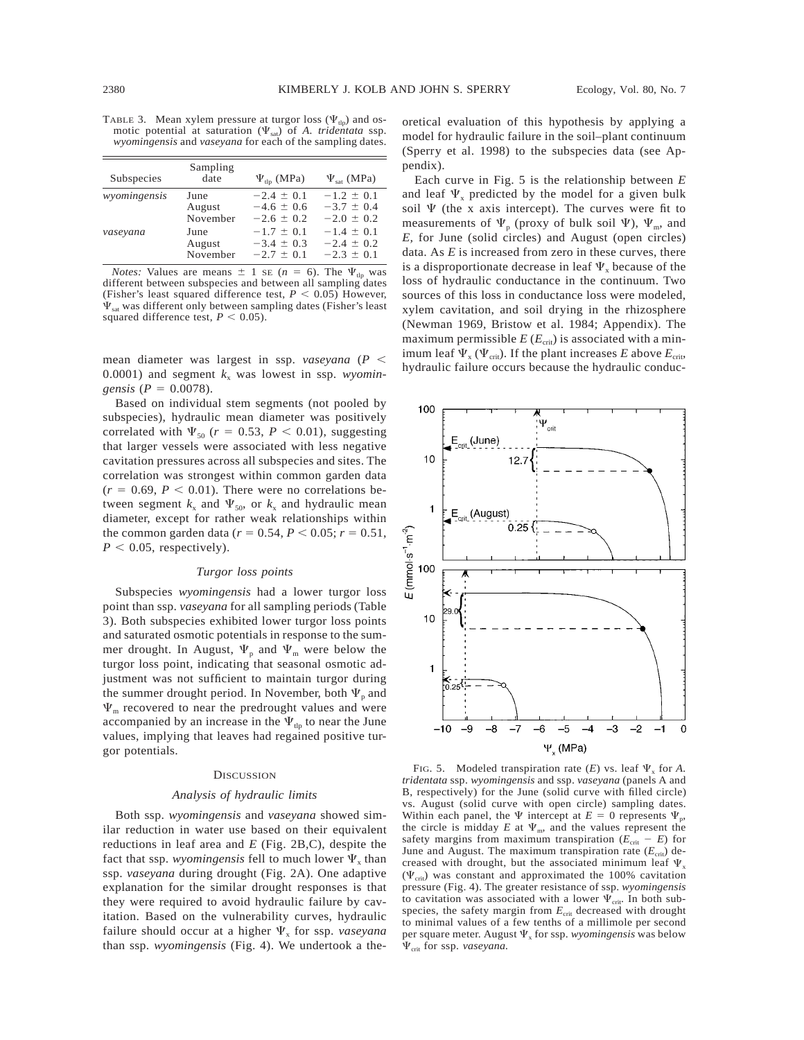TABLE 3. Mean xylem pressure at turgor loss  $(\Psi_{\text{th}})$  and osmotic potential at saturation  $(\Psi_{sat})$  of *A. tridentata* ssp. *wyomingensis* and *vaseyana* for each of the sampling dates.

| Subspecies   | Sampling<br>date | $\Psi_{\text{tip}}$ (MPa) | $\Psi_{\rm sat}$ (MPa) |
|--------------|------------------|---------------------------|------------------------|
| wyomingensis | June             | $-2.4 \pm 0.1$            | $-1.2 \pm 0.1$         |
|              | August           | $-4.6 \pm 0.6$            | $-3.7 \pm 0.4$         |
|              | November         | $-2.6 \pm 0.2$            | $-2.0 \pm 0.2$         |
| vaseyana     | June             | $-1.7 \pm 0.1$            | $-1.4 \pm 0.1$         |
|              | August           | $-3.4 \pm 0.3$            | $-2.4 \pm 0.2$         |
|              | November         | $-2.7 \pm 0.1$            | $-2.3 \pm 0.1$         |

*Notes:* Values are means  $\pm$  1 se (*n* = 6). The  $\Psi_{\text{th}}$  was different between subspecies and between all sampling dates (Fisher's least squared difference test,  $P < 0.05$ ) However,  $\Psi_{\text{sat}}$  was different only between sampling dates (Fisher's least squared difference test,  $P < 0.05$ ).

mean diameter was largest in ssp. *vaseyana* ( $P$  <  $0.0001$ ) and segment  $k_x$  was lowest in ssp. *wyomingensis* ( $P = 0.0078$ ).

Based on individual stem segments (not pooled by subspecies), hydraulic mean diameter was positively correlated with  $\Psi_{50}$  ( $r = 0.53$ ,  $P < 0.01$ ), suggesting that larger vessels were associated with less negative cavitation pressures across all subspecies and sites. The correlation was strongest within common garden data  $(r = 0.69, P < 0.01)$ . There were no correlations between segment  $k_x$  and  $\Psi_{50}$ , or  $k_x$  and hydraulic mean diameter, except for rather weak relationships within the common garden data ( $r = 0.54$ ,  $P < 0.05$ ;  $r = 0.51$ ,  $P < 0.05$ , respectively).

# *Turgor loss points*

Subspecies *wyomingensis* had a lower turgor loss point than ssp. *vaseyana* for all sampling periods (Table 3). Both subspecies exhibited lower turgor loss points and saturated osmotic potentials in response to the summer drought. In August,  $\Psi_p$  and  $\Psi_m$  were below the turgor loss point, indicating that seasonal osmotic adjustment was not sufficient to maintain turgor during the summer drought period. In November, both  $\Psi_{p}$  and  $\Psi_m$  recovered to near the predrought values and were accompanied by an increase in the  $\Psi_{\text{th}}$  to near the June values, implying that leaves had regained positive turgor potentials.

### **DISCUSSION**

# *Analysis of hydraulic limits*

Both ssp. *wyomingensis* and *vaseyana* showed similar reduction in water use based on their equivalent reductions in leaf area and *E* (Fig. 2B,C), despite the fact that ssp. *wyomingensis* fell to much lower  $\Psi$ <sub>x</sub> than ssp. *vaseyana* during drought (Fig. 2A). One adaptive explanation for the similar drought responses is that they were required to avoid hydraulic failure by cavitation. Based on the vulnerability curves, hydraulic failure should occur at a higher  $\Psi_x$  for ssp. *vaseyana* than ssp. *wyomingensis* (Fig. 4). We undertook a theoretical evaluation of this hypothesis by applying a model for hydraulic failure in the soil–plant continuum (Sperry et al. 1998) to the subspecies data (see Appendix).

Each curve in Fig. 5 is the relationship between *E* and leaf  $\Psi_x$  predicted by the model for a given bulk soil  $\Psi$  (the x axis intercept). The curves were fit to measurements of  $\Psi_p$  (proxy of bulk soil  $\Psi$ ),  $\Psi_m$ , and *E,* for June (solid circles) and August (open circles) data. As *E* is increased from zero in these curves, there is a disproportionate decrease in leaf  $\Psi$ <sub>x</sub> because of the loss of hydraulic conductance in the continuum. Two sources of this loss in conductance loss were modeled, xylem cavitation, and soil drying in the rhizosphere (Newman 1969, Bristow et al. 1984; Appendix). The maximum permissible  $E(E_{\text{crit}})$  is associated with a minimum leaf  $\Psi_{\rm x}$  ( $\Psi_{\rm crit}$ ). If the plant increases *E* above  $E_{\rm crit}$ , hydraulic failure occurs because the hydraulic conduc-



FIG. 5. Modeled transpiration rate  $(E)$  vs. leaf  $\Psi_x$  for A. *tridentata* ssp. *wyomingensis* and ssp. *vaseyana* (panels A and B, respectively) for the June (solid curve with filled circle) vs. August (solid curve with open circle) sampling dates. Within each panel, the  $\Psi$  intercept at  $E = 0$  represents  $\Psi_p$ , the circle is midday  $E$  at  $\Psi_m$ , and the values represent the safety margins from maximum transpiration  $(E_{\text{crit}} - E)$  for June and August. The maximum transpiration rate  $(E_{\text{crit}})$  decreased with drought, but the associated minimum leaf  $\Psi$ <sub>x</sub>  $(\Psi_{\text{crit}})$  was constant and approximated the 100% cavitation pressure (Fig. 4). The greater resistance of ssp. *wyomingensis* to cavitation was associated with a lower  $\Psi_{\rm crit}$ . In both subspecies, the safety margin from  $E_{\text{crit}}$  decreased with drought to minimal values of a few tenths of a millimole per second per square meter. August  $\Psi_x$  for ssp. *wyomingensis* was below Ccrit for ssp. *vaseyana.*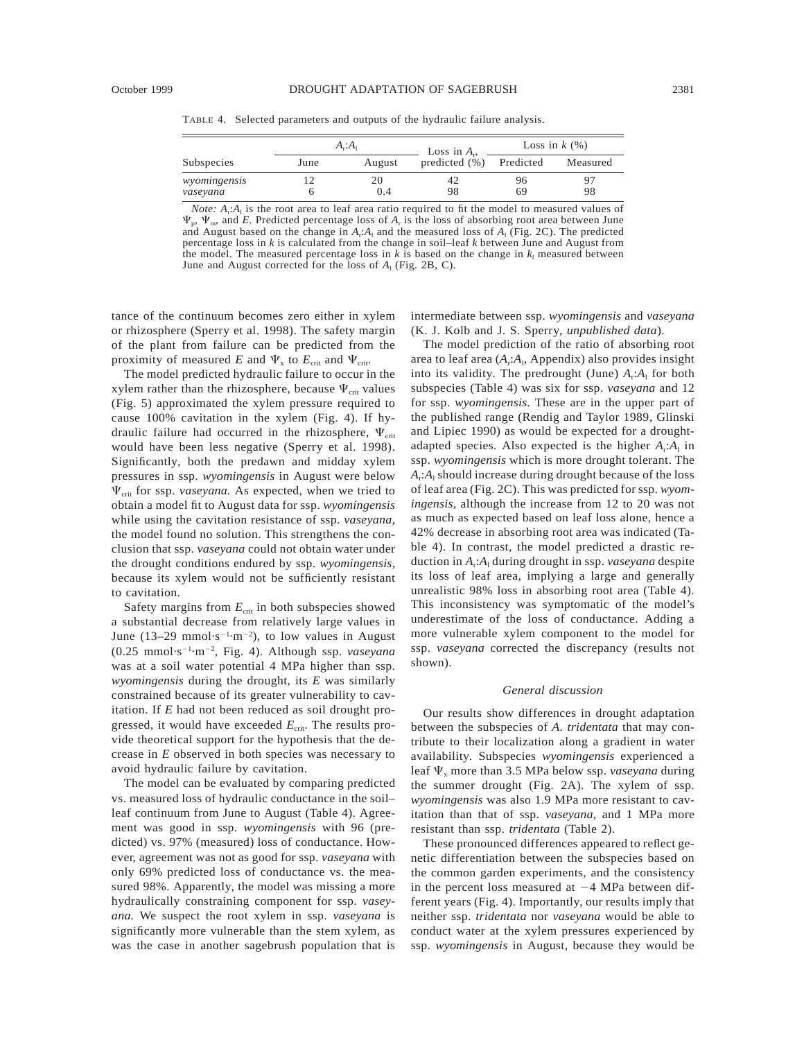| TABLE 4. Selected parameters and outputs of the hydraulic failure analysis. |  |
|-----------------------------------------------------------------------------|--|
|                                                                             |  |

|                          | A: A <sub>1</sub> |           | Loss in $A_{\rm r}$ , | Loss in $k$ (%) |          |  |
|--------------------------|-------------------|-----------|-----------------------|-----------------|----------|--|
| Subspecies               | June              | August    | predicted $(\% )$     | Predicted       | Measured |  |
| wyomingensis<br>vaseyana |                   | 20<br>0.4 | 42<br>98              | 96<br>69        | 98       |  |

*Note: A<sub>r</sub>:A<sub>1</sub>* is the root area to leaf area ratio required to fit the model to measured values of  $\Psi_{\rm p}$ ,  $\Psi_{\rm m}$ , and *E*. Predicted percentage loss of *A<sub>r</sub>* is the loss of absorbing root area between June and August based on the change in  $A_i$ : $A_i$  and the measured loss of  $A_i$  (Fig. 2C). The predicted percentage loss in *k* is calculated from the change in soil–leaf *k* between June and August from the model. The measured percentage loss in  $k$  is based on the change in  $k_1$  measured between June and August corrected for the loss of  $A<sub>1</sub>$  (Fig. 2B, C).

tance of the continuum becomes zero either in xylem or rhizosphere (Sperry et al. 1998). The safety margin of the plant from failure can be predicted from the proximity of measured *E* and  $\Psi$ <sub>x</sub> to  $E_{\text{crit}}$  and  $\Psi$ <sub>crit</sub>.

The model predicted hydraulic failure to occur in the xylem rather than the rhizosphere, because  $\Psi_{\rm crit}$  values (Fig. 5) approximated the xylem pressure required to cause 100% cavitation in the xylem (Fig. 4). If hydraulic failure had occurred in the rhizosphere,  $\Psi_{\rm crit}$ would have been less negative (Sperry et al. 1998). Significantly, both the predawn and midday xylem pressures in ssp. *wyomingensis* in August were below  $\Psi_{\rm crit}$  for ssp. *vaseyana*. As expected, when we tried to obtain a model fit to August data for ssp. *wyomingensis* while using the cavitation resistance of ssp. *vaseyana,* the model found no solution. This strengthens the conclusion that ssp. *vaseyana* could not obtain water under the drought conditions endured by ssp. *wyomingensis,* because its xylem would not be sufficiently resistant to cavitation.

Safety margins from  $E_{\text{crit}}$  in both subspecies showed a substantial decrease from relatively large values in June (13–29 mmol·s<sup>-1</sup>·m<sup>-2</sup>), to low values in August (0.25 mmol·s<sup>-1</sup>·m<sup>-2</sup>, Fig. 4). Although ssp. *vaseyana* was at a soil water potential 4 MPa higher than ssp. *wyomingensis* during the drought, its *E* was similarly constrained because of its greater vulnerability to cavitation. If *E* had not been reduced as soil drought progressed, it would have exceeded  $E_{\text{crit}}$ . The results provide theoretical support for the hypothesis that the decrease in *E* observed in both species was necessary to avoid hydraulic failure by cavitation.

The model can be evaluated by comparing predicted vs. measured loss of hydraulic conductance in the soil– leaf continuum from June to August (Table 4). Agreement was good in ssp. *wyomingensis* with 96 (predicted) vs. 97% (measured) loss of conductance. However, agreement was not as good for ssp. *vaseyana* with only 69% predicted loss of conductance vs. the measured 98%. Apparently, the model was missing a more hydraulically constraining component for ssp. *vaseyana.* We suspect the root xylem in ssp. *vaseyana* is significantly more vulnerable than the stem xylem, as was the case in another sagebrush population that is intermediate between ssp. *wyomingensis* and *vaseyana* (K. J. Kolb and J. S. Sperry, *unpublished data*).

The model prediction of the ratio of absorbing root area to leaf area (*A*<sup>r</sup> :*A*l , Appendix) also provides insight into its validity. The predrought (June)  $A_r$ : $A_1$  for both subspecies (Table 4) was six for ssp. *vaseyana* and 12 for ssp. *wyomingensis.* These are in the upper part of the published range (Rendig and Taylor 1989, Glinski and Lipiec 1990) as would be expected for a droughtadapted species. Also expected is the higher  $A_r$ : $A_1$  in ssp. *wyomingensis* which is more drought tolerant. The *A*r :*A*<sup>l</sup> should increase during drought because of the loss of leaf area (Fig. 2C). This was predicted for ssp. *wyomingensis,* although the increase from 12 to 20 was not as much as expected based on leaf loss alone, hence a 42% decrease in absorbing root area was indicated (Table 4). In contrast, the model predicted a drastic reduction in *A*r:*A*<sup>l</sup> during drought in ssp. *vaseyana* despite its loss of leaf area, implying a large and generally unrealistic 98% loss in absorbing root area (Table 4). This inconsistency was symptomatic of the model's underestimate of the loss of conductance. Adding a more vulnerable xylem component to the model for ssp. *vaseyana* corrected the discrepancy (results not shown).

## *General discussion*

Our results show differences in drought adaptation between the subspecies of *A. tridentata* that may contribute to their localization along a gradient in water availability. Subspecies *wyomingensis* experienced a leaf  $\Psi$ <sub>x</sub> more than 3.5 MPa below ssp. *vaseyana* during the summer drought (Fig. 2A). The xylem of ssp. *wyomingensis* was also 1.9 MPa more resistant to cavitation than that of ssp. *vaseyana,* and 1 MPa more resistant than ssp. *tridentata* (Table 2).

These pronounced differences appeared to reflect genetic differentiation between the subspecies based on the common garden experiments, and the consistency in the percent loss measured at  $-4$  MPa between different years (Fig. 4). Importantly, our results imply that neither ssp. *tridentata* nor *vaseyana* would be able to conduct water at the xylem pressures experienced by ssp. *wyomingensis* in August, because they would be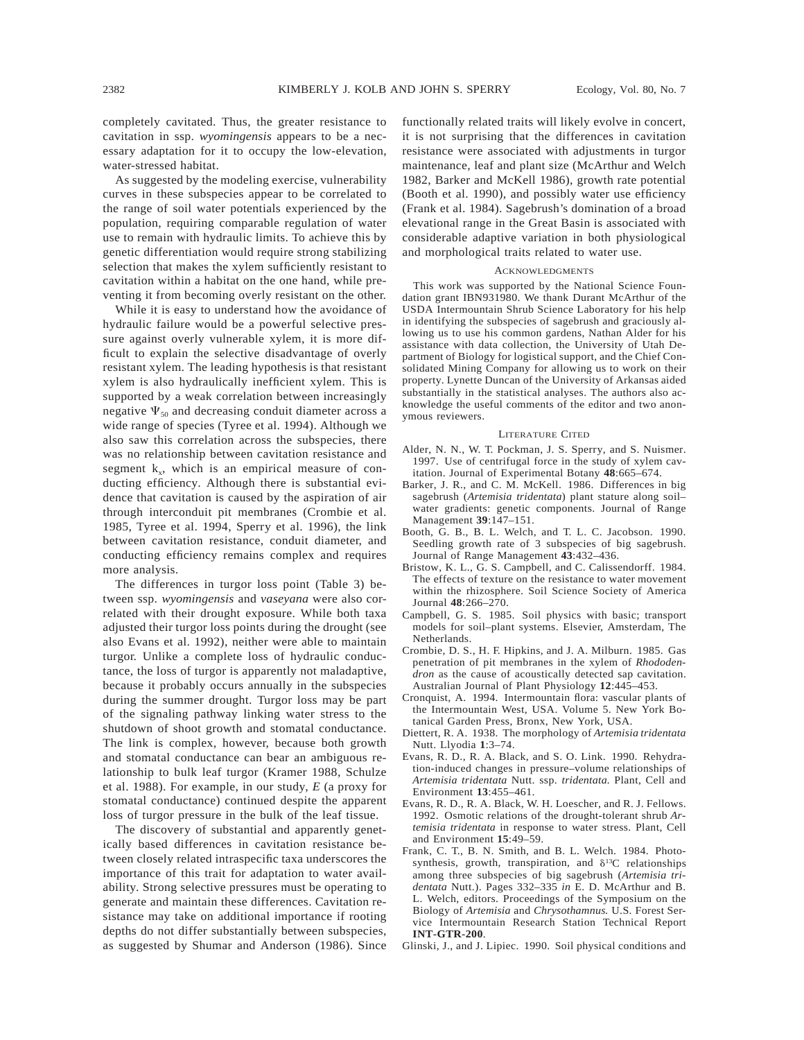completely cavitated. Thus, the greater resistance to cavitation in ssp. *wyomingensis* appears to be a necessary adaptation for it to occupy the low-elevation, water-stressed habitat.

As suggested by the modeling exercise, vulnerability curves in these subspecies appear to be correlated to the range of soil water potentials experienced by the population, requiring comparable regulation of water use to remain with hydraulic limits. To achieve this by genetic differentiation would require strong stabilizing selection that makes the xylem sufficiently resistant to cavitation within a habitat on the one hand, while preventing it from becoming overly resistant on the other.

While it is easy to understand how the avoidance of hydraulic failure would be a powerful selective pressure against overly vulnerable xylem, it is more difficult to explain the selective disadvantage of overly resistant xylem. The leading hypothesis is that resistant xylem is also hydraulically inefficient xylem. This is supported by a weak correlation between increasingly negative  $\Psi_{50}$  and decreasing conduit diameter across a wide range of species (Tyree et al. 1994). Although we also saw this correlation across the subspecies, there was no relationship between cavitation resistance and segment  $k_x$ , which is an empirical measure of conducting efficiency. Although there is substantial evidence that cavitation is caused by the aspiration of air through interconduit pit membranes (Crombie et al. 1985, Tyree et al. 1994, Sperry et al. 1996), the link between cavitation resistance, conduit diameter, and conducting efficiency remains complex and requires more analysis.

The differences in turgor loss point (Table 3) between ssp. *wyomingensis* and *vaseyana* were also correlated with their drought exposure. While both taxa adjusted their turgor loss points during the drought (see also Evans et al. 1992), neither were able to maintain turgor. Unlike a complete loss of hydraulic conductance, the loss of turgor is apparently not maladaptive, because it probably occurs annually in the subspecies during the summer drought. Turgor loss may be part of the signaling pathway linking water stress to the shutdown of shoot growth and stomatal conductance. The link is complex, however, because both growth and stomatal conductance can bear an ambiguous relationship to bulk leaf turgor (Kramer 1988, Schulze et al. 1988). For example, in our study, *E* (a proxy for stomatal conductance) continued despite the apparent loss of turgor pressure in the bulk of the leaf tissue.

The discovery of substantial and apparently genetically based differences in cavitation resistance between closely related intraspecific taxa underscores the importance of this trait for adaptation to water availability. Strong selective pressures must be operating to generate and maintain these differences. Cavitation resistance may take on additional importance if rooting depths do not differ substantially between subspecies, as suggested by Shumar and Anderson (1986). Since functionally related traits will likely evolve in concert, it is not surprising that the differences in cavitation resistance were associated with adjustments in turgor maintenance, leaf and plant size (McArthur and Welch 1982, Barker and McKell 1986), growth rate potential (Booth et al. 1990), and possibly water use efficiency (Frank et al. 1984). Sagebrush's domination of a broad elevational range in the Great Basin is associated with considerable adaptive variation in both physiological and morphological traits related to water use.

#### ACKNOWLEDGMENTS

This work was supported by the National Science Foundation grant IBN931980. We thank Durant McArthur of the USDA Intermountain Shrub Science Laboratory for his help in identifying the subspecies of sagebrush and graciously allowing us to use his common gardens, Nathan Alder for his assistance with data collection, the University of Utah Department of Biology for logistical support, and the Chief Consolidated Mining Company for allowing us to work on their property. Lynette Duncan of the University of Arkansas aided substantially in the statistical analyses. The authors also acknowledge the useful comments of the editor and two anonymous reviewers.

#### LITERATURE CITED

- Alder, N. N., W. T. Pockman, J. S. Sperry, and S. Nuismer. 1997. Use of centrifugal force in the study of xylem cavitation. Journal of Experimental Botany **48**:665–674.
- Barker, J. R., and C. M. McKell. 1986. Differences in big sagebrush (*Artemisia tridentata*) plant stature along soil– water gradients: genetic components. Journal of Range Management **39**:147–151.
- Booth, G. B., B. L. Welch, and T. L. C. Jacobson. 1990. Seedling growth rate of 3 subspecies of big sagebrush. Journal of Range Management **43**:432–436.
- Bristow, K. L., G. S. Campbell, and C. Calissendorff. 1984. The effects of texture on the resistance to water movement within the rhizosphere. Soil Science Society of America Journal **48**:266–270.
- Campbell, G. S. 1985. Soil physics with basic; transport models for soil–plant systems. Elsevier, Amsterdam, The Netherlands.
- Crombie, D. S., H. F. Hipkins, and J. A. Milburn. 1985. Gas penetration of pit membranes in the xylem of *Rhododendron* as the cause of acoustically detected sap cavitation. Australian Journal of Plant Physiology **12**:445–453.
- Cronquist, A. 1994. Intermountain flora: vascular plants of the Intermountain West, USA. Volume 5. New York Botanical Garden Press, Bronx, New York, USA.
- Diettert, R. A. 1938. The morphology of *Artemisia tridentata* Nutt. Llyodia **1**:3–74.
- Evans, R. D., R. A. Black, and S. O. Link. 1990. Rehydration-induced changes in pressure–volume relationships of *Artemisia tridentata* Nutt. ssp. *tridentata.* Plant, Cell and Environment **13**:455–461.
- Evans, R. D., R. A. Black, W. H. Loescher, and R. J. Fellows. 1992. Osmotic relations of the drought-tolerant shrub *Artemisia tridentata* in response to water stress. Plant, Cell and Environment **15**:49–59.
- Frank, C. T., B. N. Smith, and B. L. Welch. 1984. Photosynthesis, growth, transpiration, and  $\delta^{13}$ C relationships among three subspecies of big sagebrush (*Artemisia tridentata* Nutt.). Pages 332–335 *in* E. D. McArthur and B. L. Welch, editors. Proceedings of the Symposium on the Biology of *Artemisia* and *Chrysothamnus.* U.S. Forest Service Intermountain Research Station Technical Report **INT-GTR-200**.
- Glinski, J., and J. Lipiec. 1990. Soil physical conditions and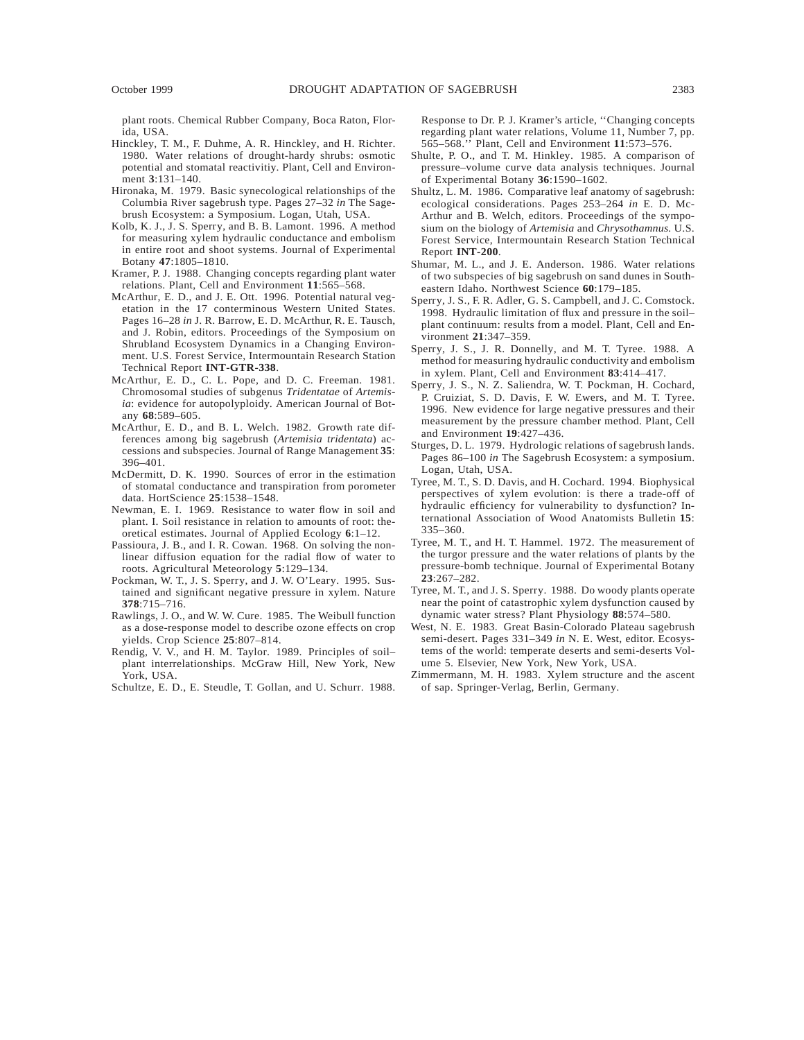plant roots. Chemical Rubber Company, Boca Raton, Florida, USA.

- Hinckley, T. M., F. Duhme, A. R. Hinckley, and H. Richter. 1980. Water relations of drought-hardy shrubs: osmotic potential and stomatal reactivitiy. Plant, Cell and Environment **3**:131–140.
- Hironaka, M. 1979. Basic synecological relationships of the Columbia River sagebrush type. Pages 27–32 *in* The Sagebrush Ecosystem: a Symposium. Logan, Utah, USA.
- Kolb, K. J., J. S. Sperry, and B. B. Lamont. 1996. A method for measuring xylem hydraulic conductance and embolism in entire root and shoot systems. Journal of Experimental Botany **47**:1805–1810.
- Kramer, P. J. 1988. Changing concepts regarding plant water relations. Plant, Cell and Environment **11**:565–568.
- McArthur, E. D., and J. E. Ott. 1996. Potential natural vegetation in the 17 conterminous Western United States. Pages 16–28 *in* J. R. Barrow, E. D. McArthur, R. E. Tausch, and J. Robin, editors. Proceedings of the Symposium on Shrubland Ecosystem Dynamics in a Changing Environment. U.S. Forest Service, Intermountain Research Station Technical Report **INT-GTR-338**.
- McArthur, E. D., C. L. Pope, and D. C. Freeman. 1981. Chromosomal studies of subgenus *Tridentatae* of *Artemisia*: evidence for autopolyploidy. American Journal of Botany **68**:589–605.
- McArthur, E. D., and B. L. Welch. 1982. Growth rate differences among big sagebrush (*Artemisia tridentata*) accessions and subspecies. Journal of Range Management **35**: 396–401.
- McDermitt, D. K. 1990. Sources of error in the estimation of stomatal conductance and transpiration from porometer data. HortScience **25**:1538–1548.
- Newman, E. I. 1969. Resistance to water flow in soil and plant. I. Soil resistance in relation to amounts of root: theoretical estimates. Journal of Applied Ecology **6**:1–12.
- Passioura, J. B., and I. R. Cowan. 1968. On solving the nonlinear diffusion equation for the radial flow of water to roots. Agricultural Meteorology **5**:129–134.
- Pockman, W. T., J. S. Sperry, and J. W. O'Leary. 1995. Sustained and significant negative pressure in xylem. Nature **378**:715–716.
- Rawlings, J. O., and W. W. Cure. 1985. The Weibull function as a dose-response model to describe ozone effects on crop yields. Crop Science **25**:807–814.
- Rendig, V. V., and H. M. Taylor. 1989. Principles of soil– plant interrelationships. McGraw Hill, New York, New York, USA.

Schultze, E. D., E. Steudle, T. Gollan, and U. Schurr. 1988.

Response to Dr. P. J. Kramer's article, ''Changing concepts regarding plant water relations, Volume 11, Number 7, pp. 565–568.'' Plant, Cell and Environment **11**:573–576.

- Shulte, P. O., and T. M. Hinkley. 1985. A comparison of pressure–volume curve data analysis techniques. Journal of Experimental Botany **36**:1590–1602.
- Shultz, L. M. 1986. Comparative leaf anatomy of sagebrush: ecological considerations. Pages 253–264 *in* E. D. Mc-Arthur and B. Welch, editors. Proceedings of the symposium on the biology of *Artemisia* and *Chrysothamnus.* U.S. Forest Service, Intermountain Research Station Technical Report **INT-200**.
- Shumar, M. L., and J. E. Anderson. 1986. Water relations of two subspecies of big sagebrush on sand dunes in Southeastern Idaho. Northwest Science **60**:179–185.
- Sperry, J. S., F. R. Adler, G. S. Campbell, and J. C. Comstock. 1998. Hydraulic limitation of flux and pressure in the soil– plant continuum: results from a model. Plant, Cell and Environment **21**:347–359.
- Sperry, J. S., J. R. Donnelly, and M. T. Tyree. 1988. A method for measuring hydraulic conductivity and embolism in xylem. Plant, Cell and Environment **83**:414–417.
- Sperry, J. S., N. Z. Saliendra, W. T. Pockman, H. Cochard, P. Cruiziat, S. D. Davis, F. W. Ewers, and M. T. Tyree. 1996. New evidence for large negative pressures and their measurement by the pressure chamber method. Plant, Cell and Environment **19**:427–436.
- Sturges, D. L. 1979. Hydrologic relations of sagebrush lands. Pages 86–100 *in* The Sagebrush Ecosystem: a symposium. Logan, Utah, USA.
- Tyree, M. T., S. D. Davis, and H. Cochard. 1994. Biophysical perspectives of xylem evolution: is there a trade-off of hydraulic efficiency for vulnerability to dysfunction? International Association of Wood Anatomists Bulletin **15**: 335–360.
- Tyree, M. T., and H. T. Hammel. 1972. The measurement of the turgor pressure and the water relations of plants by the pressure-bomb technique. Journal of Experimental Botany **23**:267–282.
- Tyree, M. T., and J. S. Sperry. 1988. Do woody plants operate near the point of catastrophic xylem dysfunction caused by dynamic water stress? Plant Physiology **88**:574–580.
- West, N. E. 1983. Great Basin-Colorado Plateau sagebrush semi-desert. Pages 331–349 *in* N. E. West, editor. Ecosystems of the world: temperate deserts and semi-deserts Volume 5. Elsevier, New York, New York, USA.
- Zimmermann, M. H. 1983. Xylem structure and the ascent of sap. Springer-Verlag, Berlin, Germany.